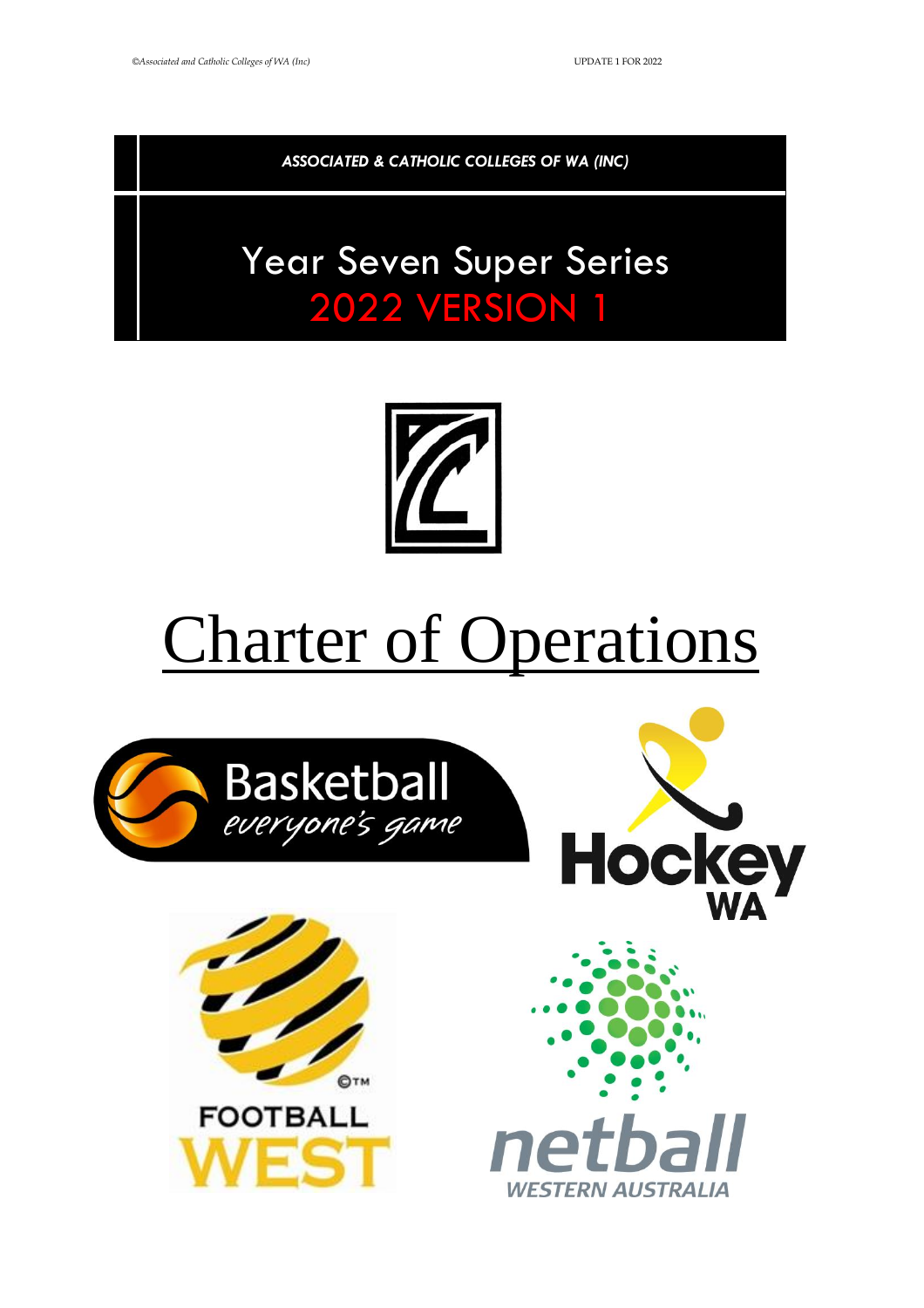*ASSOCIATED & CATHOLIC COLLEGES OF WA (INC)*

# Year Seven Super Series 2022 VERSION 1



# Charter of Operations

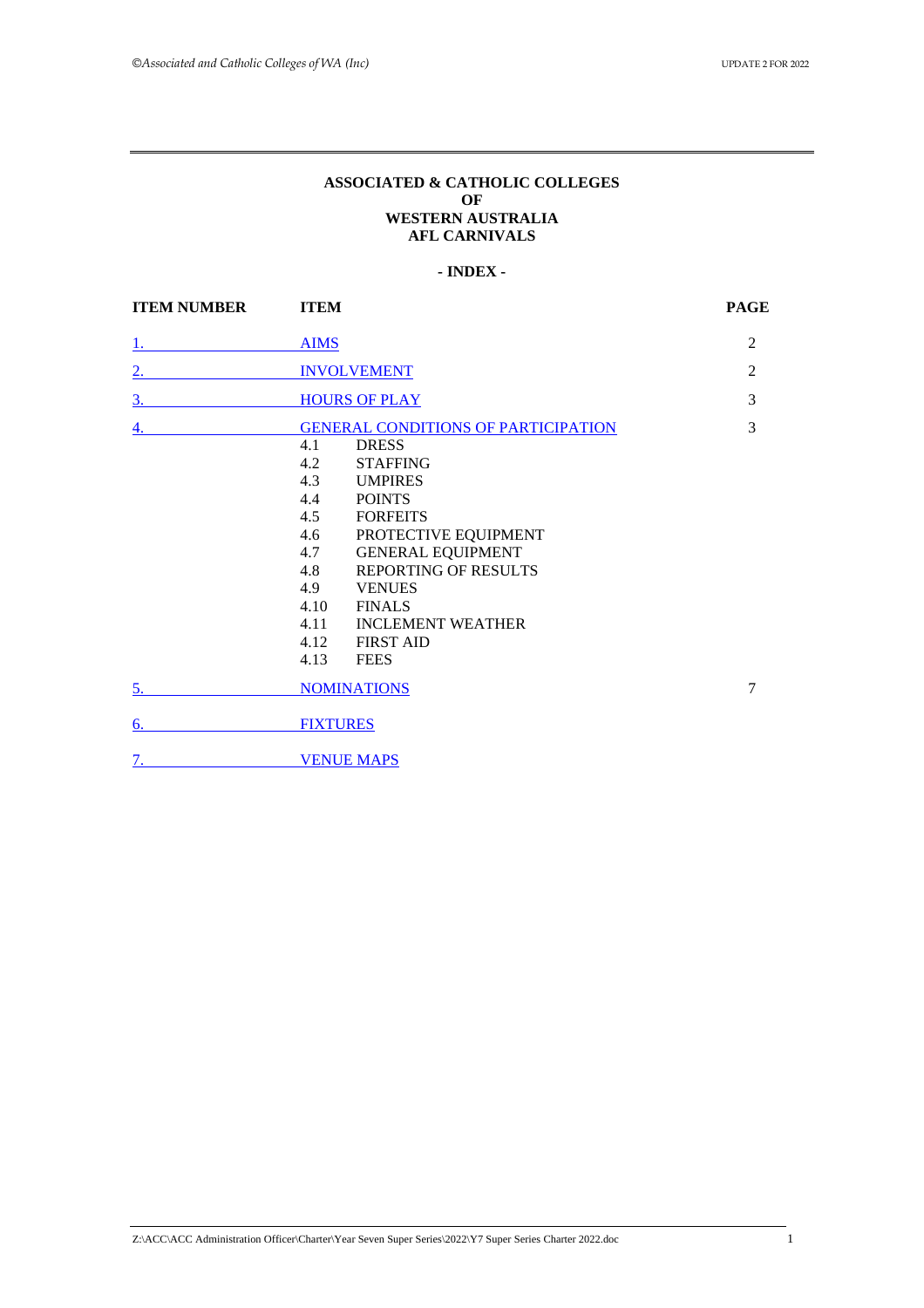#### **ASSOCIATED & CATHOLIC COLLEGES OF WESTERN AUSTRALIA AFL CARNIVALS**

#### **- INDEX -**

<span id="page-1-0"></span>

| <b>ITEM NUMBER</b> | <b>ITEM</b>                                                                                                                                                                                                                                                                                                                                                   | <b>PAGE</b>    |
|--------------------|---------------------------------------------------------------------------------------------------------------------------------------------------------------------------------------------------------------------------------------------------------------------------------------------------------------------------------------------------------------|----------------|
|                    | <b>AIMS</b>                                                                                                                                                                                                                                                                                                                                                   | 2              |
| 2.                 | <b>INVOLVEMENT</b>                                                                                                                                                                                                                                                                                                                                            | 2              |
| $\overline{3}$ .   | <b>HOURS OF PLAY</b>                                                                                                                                                                                                                                                                                                                                          | 3              |
| $\overline{4.}$    | <b>GENERAL CONDITIONS OF PARTICIPATION</b><br>4.1<br><b>DRESS</b><br>4.2<br><b>STAFFING</b><br>4.3 UMPIRES<br>4.4 POINTS<br>4.5<br><b>FORFEITS</b><br>4.6<br>PROTECTIVE EQUIPMENT<br>4.7 GENERAL EQUIPMENT<br>REPORTING OF RESULTS<br>4.8<br>4.9<br><b>VENUES</b><br>4.10<br><b>FINALS</b><br><b>INCLEMENT WEATHER</b><br>4.11<br>4.12 FIRST AID<br>4.13 FEES | $\overline{3}$ |
| 5.                 | <b>NOMINATIONS</b>                                                                                                                                                                                                                                                                                                                                            | 7              |
| 6.                 | <b>FIXTURES</b>                                                                                                                                                                                                                                                                                                                                               |                |
| 7.                 | <b>VENUE MAPS</b>                                                                                                                                                                                                                                                                                                                                             |                |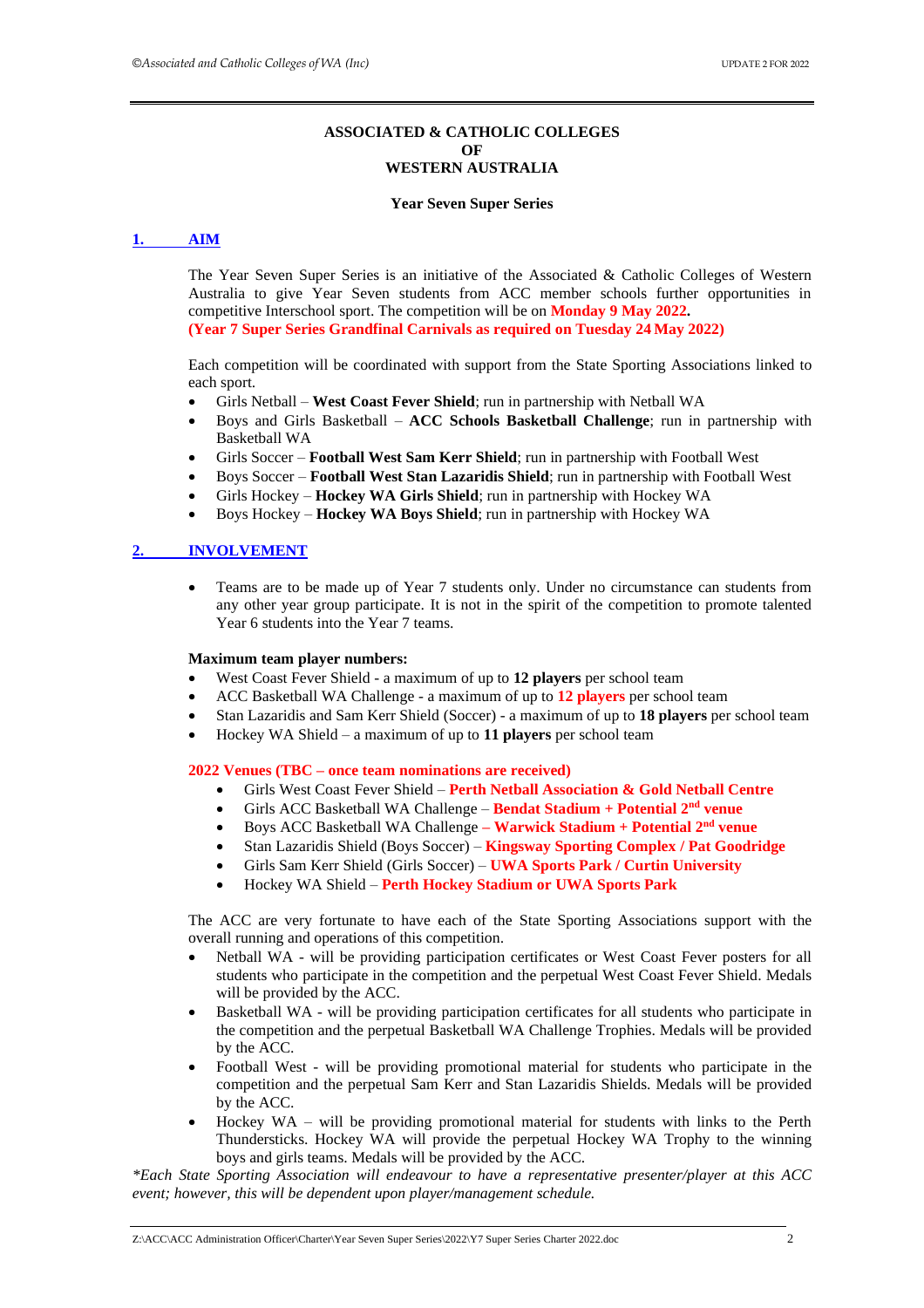#### **ASSOCIATED & CATHOLIC COLLEGES OF WESTERN AUSTRALIA**

#### **Year Seven Super Series**

#### <span id="page-2-0"></span>**1. [AIM](#page-1-0)**

The Year Seven Super Series is an initiative of the Associated & Catholic Colleges of Western Australia to give Year Seven students from ACC member schools further opportunities in competitive Interschool sport. The competition will be on **Monday 9 May 2022. (Year 7 Super Series Grandfinal Carnivals as required on Tuesday 24 May 2022)**

Each competition will be coordinated with support from the State Sporting Associations linked to each sport.

- Girls Netball **West Coast Fever Shield**; run in partnership with Netball WA
- Boys and Girls Basketball **ACC Schools Basketball Challenge**; run in partnership with Basketball WA
- Girls Soccer **Football West Sam Kerr Shield**; run in partnership with Football West
- Boys Soccer **Football West Stan Lazaridis Shield**; run in partnership with Football West
- Girls Hockey **Hockey WA Girls Shield**; run in partnership with Hockey WA
- Boys Hockey **Hockey WA Boys Shield**; run in partnership with Hockey WA

#### <span id="page-2-1"></span>**2. [INVOLVEMENT](#page-1-0)**

• Teams are to be made up of Year 7 students only. Under no circumstance can students from any other year group participate. It is not in the spirit of the competition to promote talented Year 6 students into the Year 7 teams.

#### **Maximum team player numbers:**

- West Coast Fever Shield a maximum of up to **12 players** per school team
- ACC Basketball WA Challenge a maximum of up to **12 players** per school team
- Stan Lazaridis and Sam Kerr Shield (Soccer) a maximum of up to **18 players** per school team
- Hockey WA Shield a maximum of up to **11 players** per school team

#### **2022 Venues (TBC – once team nominations are received)**

- Girls West Coast Fever Shield **Perth Netball Association & Gold Netball Centre**
- Girls ACC Basketball WA Challenge **Bendat Stadium + Potential 2 nd venue**
- Boys ACC Basketball WA Challenge **– Warwick Stadium + Potential 2 nd venue**
- Stan Lazaridis Shield (Boys Soccer) **Kingsway Sporting Complex / Pat Goodridge**
- Girls Sam Kerr Shield (Girls Soccer) **UWA Sports Park / Curtin University**
- Hockey WA Shield **Perth Hockey Stadium or UWA Sports Park**

The ACC are very fortunate to have each of the State Sporting Associations support with the overall running and operations of this competition.

- Netball WA will be providing participation certificates or West Coast Fever posters for all students who participate in the competition and the perpetual West Coast Fever Shield. Medals will be provided by the ACC.
- Basketball WA will be providing participation certificates for all students who participate in the competition and the perpetual Basketball WA Challenge Trophies. Medals will be provided by the ACC.
- Football West will be providing promotional material for students who participate in the competition and the perpetual Sam Kerr and Stan Lazaridis Shields. Medals will be provided by the ACC.
- Hockey WA will be providing promotional material for students with links to the Perth Thundersticks. Hockey WA will provide the perpetual Hockey WA Trophy to the winning boys and girls teams. Medals will be provided by the ACC.

*\*Each State Sporting Association will endeavour to have a representative presenter/player at this ACC event; however, this will be dependent upon player/management schedule.*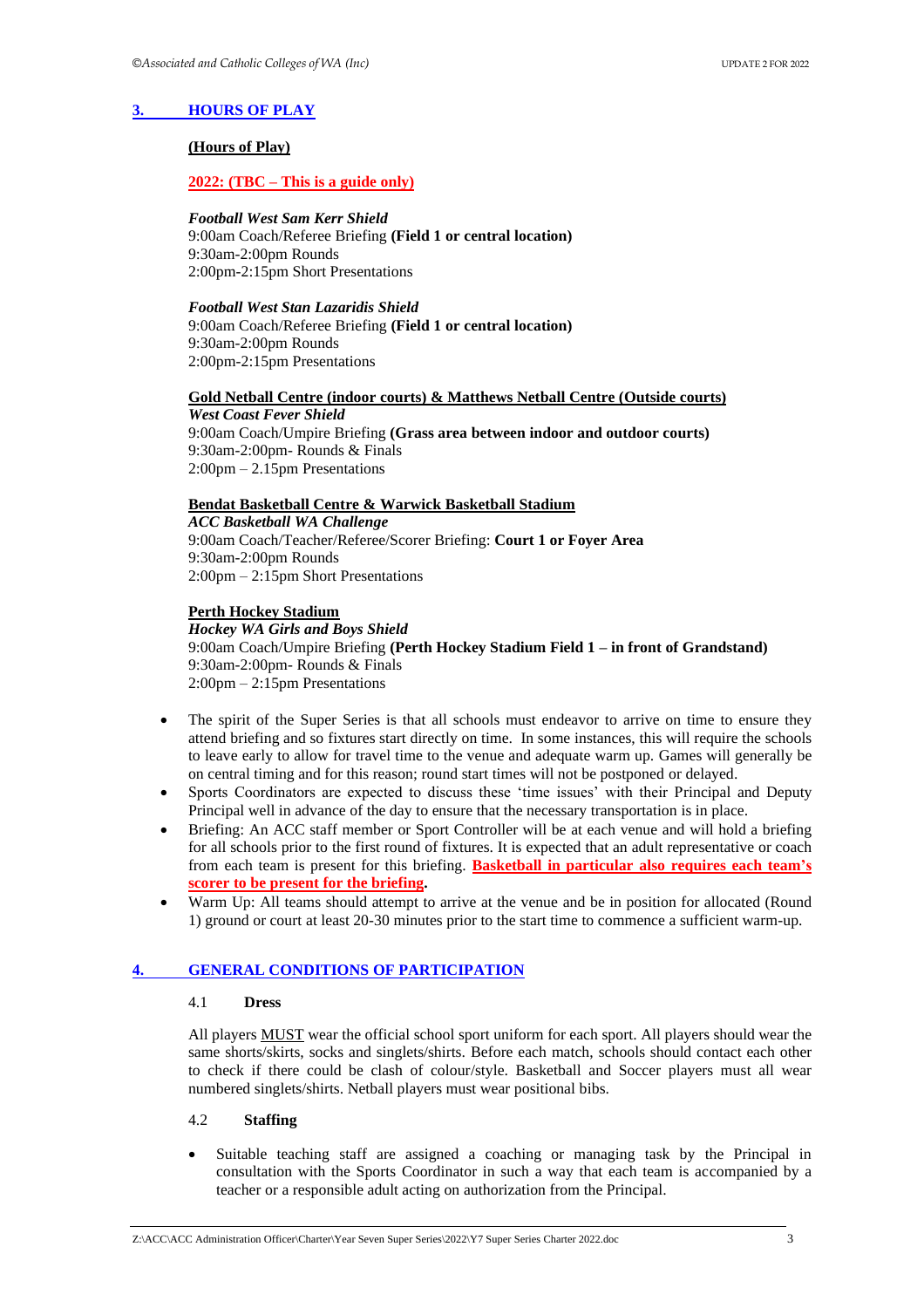#### <span id="page-3-0"></span>**3. [HOURS OF PLAY](#page-1-0)**

#### **(Hours of Play)**

#### **2022: (TBC – This is a guide only)**

#### *Football West Sam Kerr Shield*

9:00am Coach/Referee Briefing **(Field 1 or central location)** 9:30am-2:00pm Rounds 2:00pm-2:15pm Short Presentations

#### *Football West Stan Lazaridis Shield*

9:00am Coach/Referee Briefing **(Field 1 or central location)** 9:30am-2:00pm Rounds 2:00pm-2:15pm Presentations

#### **Gold Netball Centre (indoor courts) & Matthews Netball Centre (Outside courts)** *West Coast Fever Shield*

9:00am Coach/Umpire Briefing **(Grass area between indoor and outdoor courts)** 9:30am-2:00pm- Rounds & Finals 2:00pm – 2.15pm Presentations

#### **Bendat Basketball Centre & Warwick Basketball Stadium**

*ACC Basketball WA Challenge* 9:00am Coach/Teacher/Referee/Scorer Briefing: **Court 1 or Foyer Area** 9:30am-2:00pm Rounds 2:00pm – 2:15pm Short Presentations

#### **Perth Hockey Stadium**

#### *Hockey WA Girls and Boys Shield*

9:00am Coach/Umpire Briefing **(Perth Hockey Stadium Field 1 – in front of Grandstand)** 9:30am-2:00pm- Rounds & Finals 2:00pm – 2:15pm Presentations

- The spirit of the Super Series is that all schools must endeavor to arrive on time to ensure they attend briefing and so fixtures start directly on time. In some instances, this will require the schools to leave early to allow for travel time to the venue and adequate warm up. Games will generally be on central timing and for this reason; round start times will not be postponed or delayed.
- Sports Coordinators are expected to discuss these 'time issues' with their Principal and Deputy Principal well in advance of the day to ensure that the necessary transportation is in place.
- Briefing: An ACC staff member or Sport Controller will be at each venue and will hold a briefing for all schools prior to the first round of fixtures. It is expected that an adult representative or coach from each team is present for this briefing. **Basketball in particular also requires each team's scorer to be present for the briefing.**
- Warm Up: All teams should attempt to arrive at the venue and be in position for allocated (Round 1) ground or court at least 20-30 minutes prior to the start time to commence a sufficient warm-up.

#### <span id="page-3-1"></span>**4. [GENERAL CONDITIONS OF PARTICIPATION](#page-1-0)**

#### 4.1 **Dress**

All players MUST wear the official school sport uniform for each sport. All players should wear the same shorts/skirts, socks and singlets/shirts. Before each match, schools should contact each other to check if there could be clash of colour/style. Basketball and Soccer players must all wear numbered singlets/shirts. Netball players must wear positional bibs.

#### 4.2 **Staffing**

• Suitable teaching staff are assigned a coaching or managing task by the Principal in consultation with the Sports Coordinator in such a way that each team is accompanied by a teacher or a responsible adult acting on authorization from the Principal.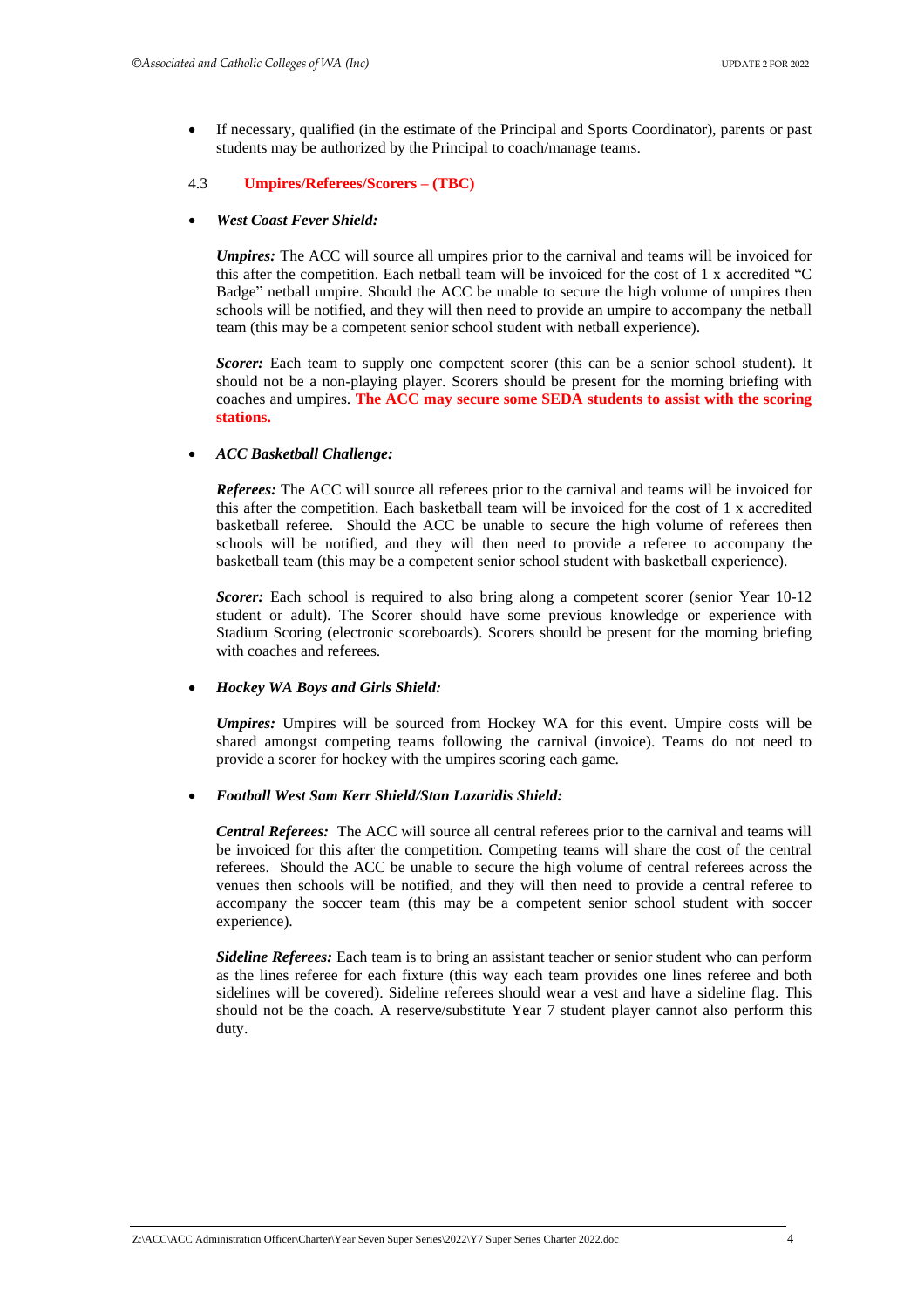• If necessary, qualified (in the estimate of the Principal and Sports Coordinator), parents or past students may be authorized by the Principal to coach/manage teams.

#### 4.3 **Umpires/Referees/Scorers – (TBC)**

#### • *West Coast Fever Shield:*

*Umpires:* The ACC will source all umpires prior to the carnival and teams will be invoiced for this after the competition. Each netball team will be invoiced for the cost of 1 x accredited "C Badge" netball umpire. Should the ACC be unable to secure the high volume of umpires then schools will be notified, and they will then need to provide an umpire to accompany the netball team (this may be a competent senior school student with netball experience).

*Scorer:* Each team to supply one competent scorer (this can be a senior school student). It should not be a non-playing player. Scorers should be present for the morning briefing with coaches and umpires. **The ACC may secure some SEDA students to assist with the scoring stations.** 

#### • *ACC Basketball Challenge:*

*Referees:* The ACC will source all referees prior to the carnival and teams will be invoiced for this after the competition. Each basketball team will be invoiced for the cost of 1 x accredited basketball referee. Should the ACC be unable to secure the high volume of referees then schools will be notified, and they will then need to provide a referee to accompany the basketball team (this may be a competent senior school student with basketball experience).

*Scorer:* Each school is required to also bring along a competent scorer (senior Year 10-12 student or adult). The Scorer should have some previous knowledge or experience with Stadium Scoring (electronic scoreboards). Scorers should be present for the morning briefing with coaches and referees.

#### • *Hockey WA Boys and Girls Shield:*

*Umpires:* Umpires will be sourced from Hockey WA for this event. Umpire costs will be shared amongst competing teams following the carnival (invoice). Teams do not need to provide a scorer for hockey with the umpires scoring each game.

#### • *Football West Sam Kerr Shield/Stan Lazaridis Shield:*

*Central Referees:* The ACC will source all central referees prior to the carnival and teams will be invoiced for this after the competition. Competing teams will share the cost of the central referees. Should the ACC be unable to secure the high volume of central referees across the venues then schools will be notified, and they will then need to provide a central referee to accompany the soccer team (this may be a competent senior school student with soccer experience).

*Sideline Referees:* Each team is to bring an assistant teacher or senior student who can perform as the lines referee for each fixture (this way each team provides one lines referee and both sidelines will be covered). Sideline referees should wear a vest and have a sideline flag. This should not be the coach. A reserve/substitute Year 7 student player cannot also perform this duty.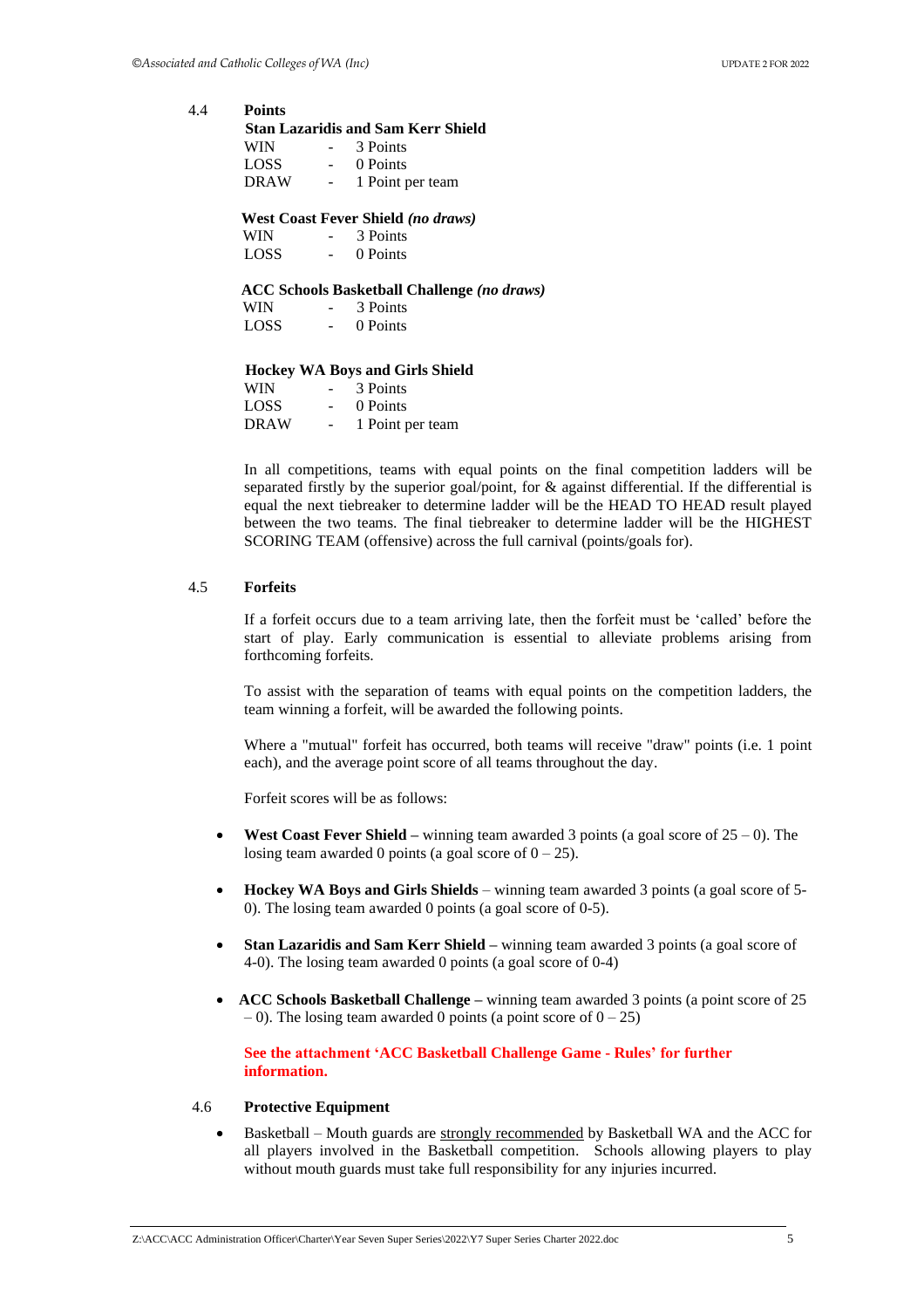4.4 **Points Stan Lazaridis and Sam Kerr Shield**  WIN - 3 Points LOSS - 0 Points DRAW - 1 Point per team  **West Coast Fever Shield** *(no draws)* WIN - 3 Points LOSS - 0 Points  **ACC Schools Basketball Challenge** *(no draws)* WIN - 3 Points LOSS - 0 Points  **Hockey WA Boys and Girls Shield**  WIN - 3 Points LOSS - 0 Points

DRAW - 1 Point per team

In all competitions, teams with equal points on the final competition ladders will be separated firstly by the superior goal/point, for & against differential. If the differential is equal the next tiebreaker to determine ladder will be the HEAD TO HEAD result played between the two teams. The final tiebreaker to determine ladder will be the HIGHEST SCORING TEAM (offensive) across the full carnival (points/goals for).

#### 4.5 **Forfeits**

If a forfeit occurs due to a team arriving late, then the forfeit must be 'called' before the start of play. Early communication is essential to alleviate problems arising from forthcoming forfeits.

To assist with the separation of teams with equal points on the competition ladders, the team winning a forfeit, will be awarded the following points.

Where a "mutual" forfeit has occurred, both teams will receive "draw" points (i.e. 1 point each), and the average point score of all teams throughout the day.

Forfeit scores will be as follows:

- **West Coast Fever Shield –** winning team awarded 3 points (a goal score of 25 0). The losing team awarded 0 points (a goal score of  $0 - 25$ ).
- **Hockey WA Boys and Girls Shields** winning team awarded 3 points (a goal score of 5- 0). The losing team awarded 0 points (a goal score of 0-5).
- **Stan Lazaridis and Sam Kerr Shield** winning team awarded 3 points (a goal score of 4-0). The losing team awarded 0 points (a goal score of 0-4)
- **ACC Schools Basketball Challenge** winning team awarded 3 points (a point score of 25  $-$  0). The losing team awarded 0 points (a point score of  $0 - 25$ )

**See the attachment 'ACC Basketball Challenge Game - Rules' for further information.** 

#### 4.6 **Protective Equipment**

• Basketball – Mouth guards are strongly recommended by Basketball WA and the ACC for all players involved in the Basketball competition. Schools allowing players to play without mouth guards must take full responsibility for any injuries incurred.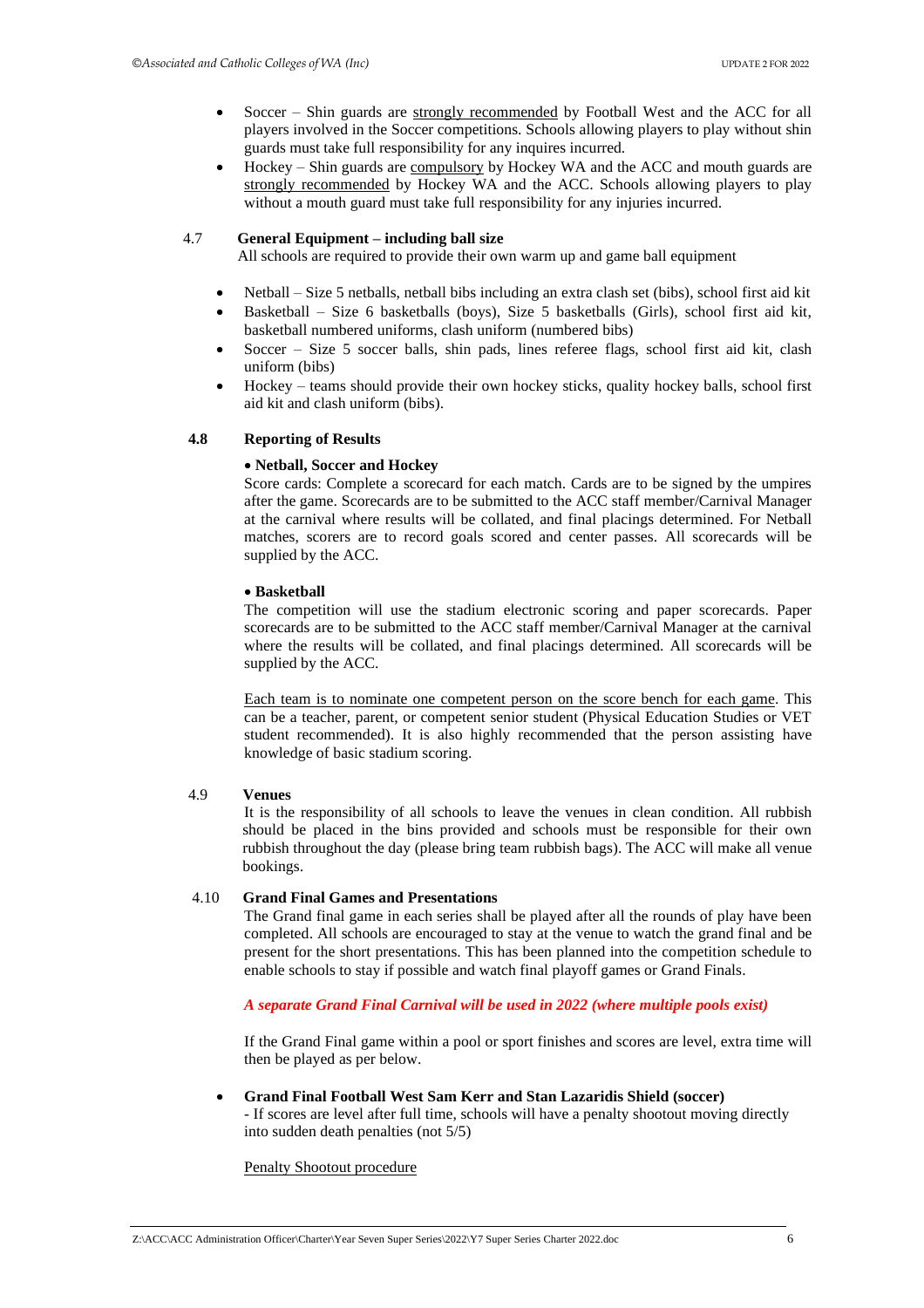- Soccer Shin guards are strongly recommended by Football West and the ACC for all players involved in the Soccer competitions. Schools allowing players to play without shin guards must take full responsibility for any inquires incurred.
- Hockey Shin guards are compulsory by Hockey WA and the ACC and mouth guards are strongly recommended by Hockey WA and the ACC. Schools allowing players to play without a mouth guard must take full responsibility for any injuries incurred.

#### 4.7 **General Equipment – including ball size**

All schools are required to provide their own warm up and game ball equipment

- Netball Size 5 netballs, netball bibs including an extra clash set (bibs), school first aid kit
- Basketball Size 6 basketballs (boys), Size 5 basketballs (Girls), school first aid kit, basketball numbered uniforms, clash uniform (numbered bibs)
- Soccer Size 5 soccer balls, shin pads, lines referee flags, school first aid kit, clash uniform (bibs)
- Hockey teams should provide their own hockey sticks, quality hockey balls, school first aid kit and clash uniform (bibs).

#### **4.8 Reporting of Results**

#### • **Netball, Soccer and Hockey**

Score cards: Complete a scorecard for each match. Cards are to be signed by the umpires after the game. Scorecards are to be submitted to the ACC staff member/Carnival Manager at the carnival where results will be collated, and final placings determined. For Netball matches, scorers are to record goals scored and center passes. All scorecards will be supplied by the ACC.

#### • **Basketball**

The competition will use the stadium electronic scoring and paper scorecards. Paper scorecards are to be submitted to the ACC staff member/Carnival Manager at the carnival where the results will be collated, and final placings determined. All scorecards will be supplied by the ACC.

Each team is to nominate one competent person on the score bench for each game. This can be a teacher, parent, or competent senior student (Physical Education Studies or VET student recommended). It is also highly recommended that the person assisting have knowledge of basic stadium scoring.

#### 4.9 **Venues**

It is the responsibility of all schools to leave the venues in clean condition. All rubbish should be placed in the bins provided and schools must be responsible for their own rubbish throughout the day (please bring team rubbish bags). The ACC will make all venue bookings.

#### 4.10 **Grand Final Games and Presentations**

The Grand final game in each series shall be played after all the rounds of play have been completed. All schools are encouraged to stay at the venue to watch the grand final and be present for the short presentations. This has been planned into the competition schedule to enable schools to stay if possible and watch final playoff games or Grand Finals.

#### *A separate Grand Final Carnival will be used in 2022 (where multiple pools exist)*

If the Grand Final game within a pool or sport finishes and scores are level, extra time will then be played as per below.

#### • **Grand Final Football West Sam Kerr and Stan Lazaridis Shield (soccer)**

- If scores are level after full time, schools will have a penalty shootout moving directly into sudden death penalties (not 5/5)

#### Penalty Shootout procedure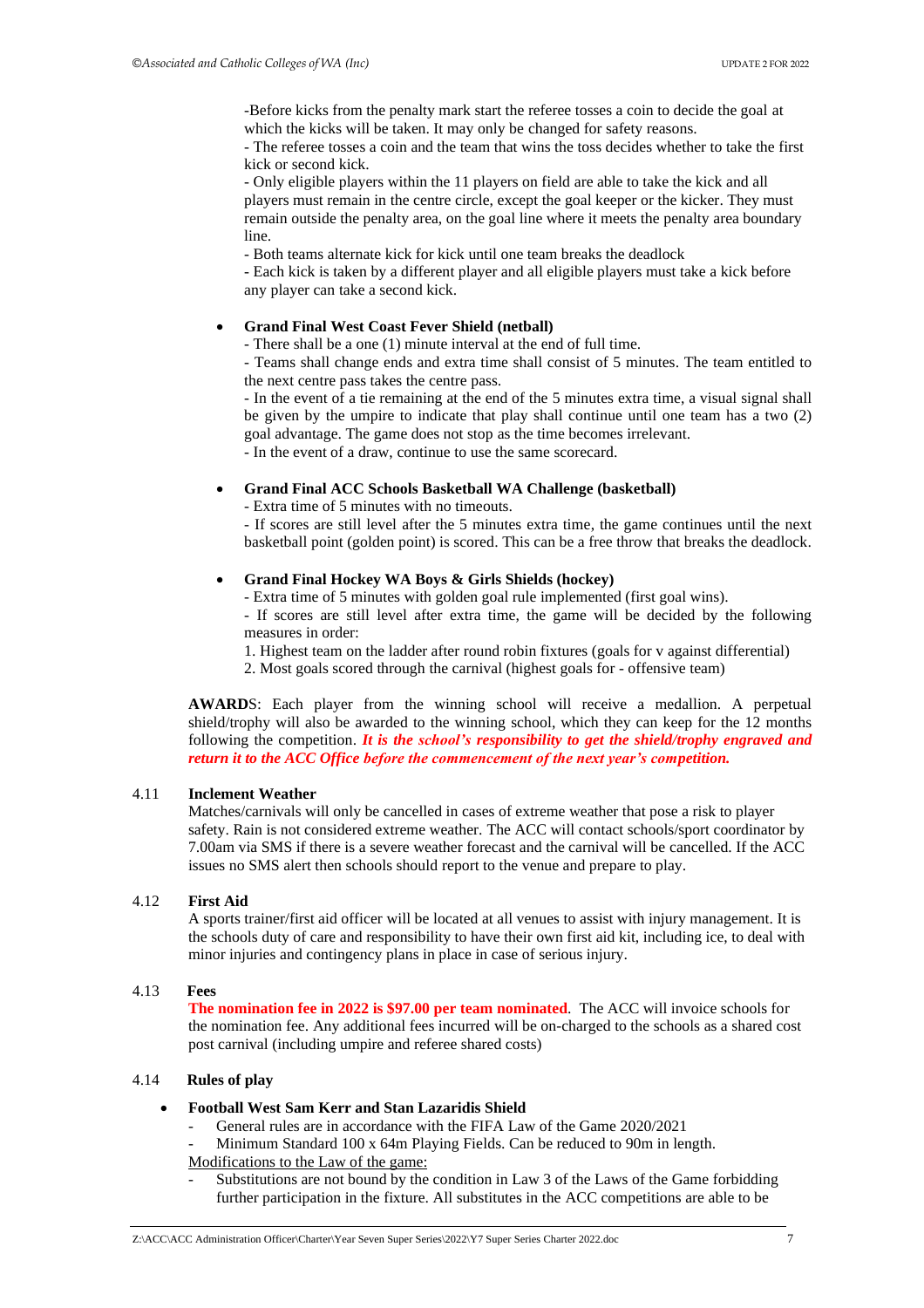-Before kicks from the penalty mark start the referee tosses a coin to decide the goal at which the kicks will be taken. It may only be changed for safety reasons.

- The referee tosses a coin and the team that wins the toss decides whether to take the first kick or second kick.

- Only eligible players within the 11 players on field are able to take the kick and all players must remain in the centre circle, except the goal keeper or the kicker. They must remain outside the penalty area, on the goal line where it meets the penalty area boundary line.

- Both teams alternate kick for kick until one team breaks the deadlock

- Each kick is taken by a different player and all eligible players must take a kick before any player can take a second kick.

#### • **Grand Final West Coast Fever Shield (netball)**

- There shall be a one (1) minute interval at the end of full time.

- Teams shall change ends and extra time shall consist of 5 minutes. The team entitled to the next centre pass takes the centre pass.

- In the event of a tie remaining at the end of the 5 minutes extra time, a visual signal shall be given by the umpire to indicate that play shall continue until one team has a two (2) goal advantage. The game does not stop as the time becomes irrelevant.

- In the event of a draw, continue to use the same scorecard.

#### • **Grand Final ACC Schools Basketball WA Challenge (basketball)**

- Extra time of 5 minutes with no timeouts.

- If scores are still level after the 5 minutes extra time, the game continues until the next basketball point (golden point) is scored. This can be a free throw that breaks the deadlock.

#### • **Grand Final Hockey WA Boys & Girls Shields (hockey)**

- Extra time of 5 minutes with golden goal rule implemented (first goal wins).

- If scores are still level after extra time, the game will be decided by the following measures in order:

1. Highest team on the ladder after round robin fixtures (goals for v against differential)

2. Most goals scored through the carnival (highest goals for - offensive team)

**AWARD**S: Each player from the winning school will receive a medallion. A perpetual shield/trophy will also be awarded to the winning school, which they can keep for the 12 months following the competition. *It is the school's responsibility to get the shield/trophy engraved and return it to the ACC Office before the commencement of the next year's competition.* 

#### 4.11 **Inclement Weather**

Matches/carnivals will only be cancelled in cases of extreme weather that pose a risk to player safety. Rain is not considered extreme weather. The ACC will contact schools/sport coordinator by 7.00am via SMS if there is a severe weather forecast and the carnival will be cancelled. If the ACC issues no SMS alert then schools should report to the venue and prepare to play.

#### 4.12 **First Aid**

A sports trainer/first aid officer will be located at all venues to assist with injury management. It is the schools duty of care and responsibility to have their own first aid kit, including ice, to deal with minor injuries and contingency plans in place in case of serious injury.

#### 4.13 **Fees**

**The nomination fee in 2022 is \$97.00 per team nominated**. The ACC will invoice schools for the nomination fee. Any additional fees incurred will be on-charged to the schools as a shared cost post carnival (including umpire and referee shared costs)

#### 4.14 **Rules of play**

- **Football West Sam Kerr and Stan Lazaridis Shield**
	- General rules are in accordance with the FIFA Law of the Game 2020/2021

Minimum Standard 100 x 64m Playing Fields. Can be reduced to 90m in length. Modifications to the Law of the game:

Substitutions are not bound by the condition in Law 3 of the Laws of the Game forbidding further participation in the fixture. All substitutes in the ACC competitions are able to be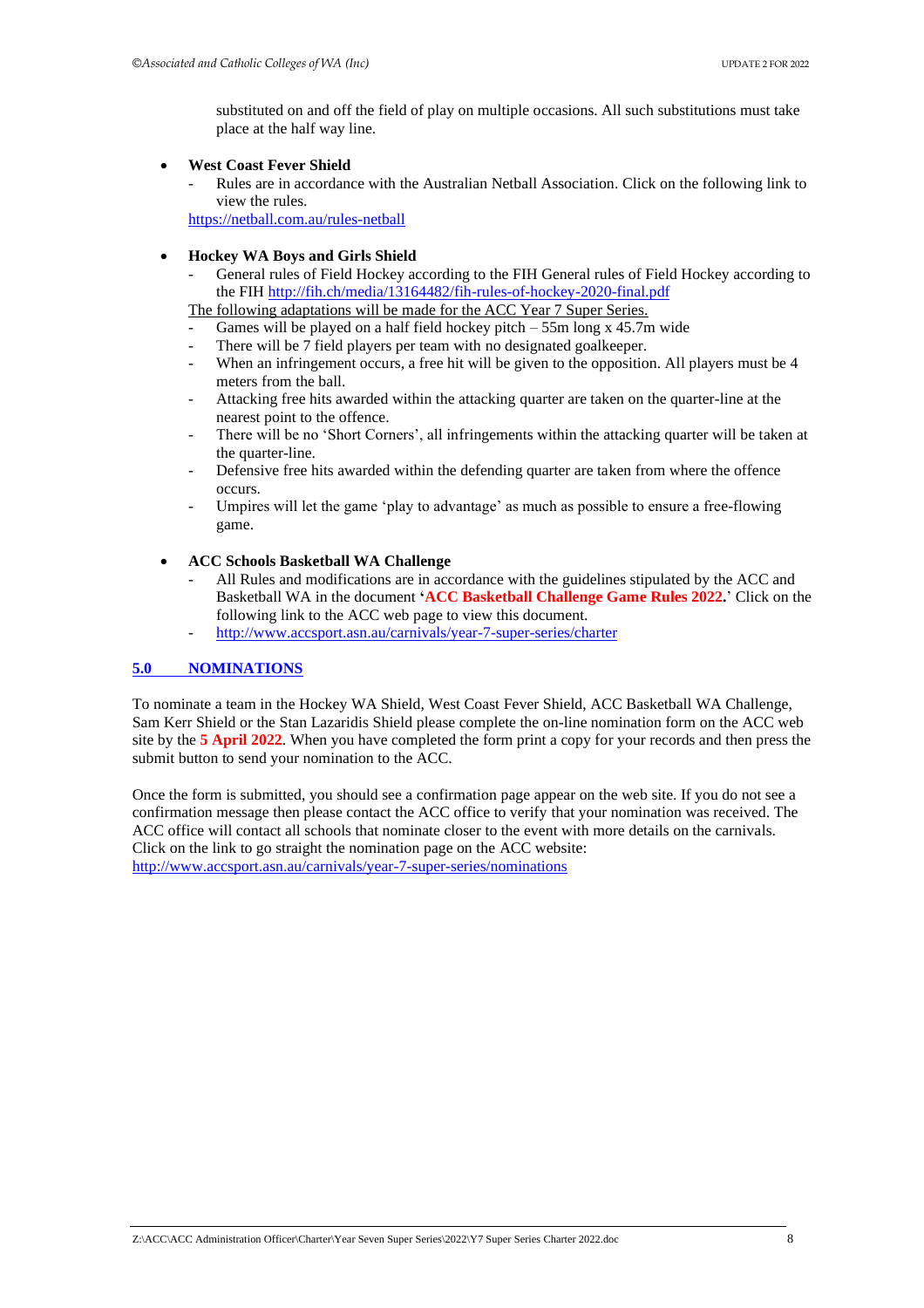substituted on and off the field of play on multiple occasions. All such substitutions must take place at the half way line.

#### • **West Coast Fever Shield**

- Rules are in accordance with the Australian Netball Association. Click on the following link to view the rules.

<https://netball.com.au/rules-netball>

#### • **Hockey WA Boys and Girls Shield**

- General rules of Field Hockey according to the FIH General rules of Field Hockey according to the FIH<http://fih.ch/media/13164482/fih-rules-of-hockey-2020-final.pdf>

The following adaptations will be made for the ACC Year 7 Super Series.

- Games will be played on a half field hockey pitch  $-$  55m long x 45.7m wide
- There will be 7 field players per team with no designated goalkeeper.
- When an infringement occurs, a free hit will be given to the opposition. All players must be 4 meters from the ball.
- Attacking free hits awarded within the attacking quarter are taken on the quarter-line at the nearest point to the offence.
- There will be no 'Short Corners', all infringements within the attacking quarter will be taken at the quarter-line.
- Defensive free hits awarded within the defending quarter are taken from where the offence occurs.
- Umpires will let the game 'play to advantage' as much as possible to ensure a free-flowing game.

#### • **ACC Schools Basketball WA Challenge**

- All Rules and modifications are in accordance with the guidelines stipulated by the ACC and Basketball WA in the document **'ACC Basketball Challenge Game Rules 2022.**' Click on the following link to the ACC web page to view this document.
- <span id="page-8-0"></span>- <http://www.accsport.asn.au/carnivals/year-7-super-series/charter>

#### **[5.0 NOMINATIONS](#page-1-0)**

To nominate a team in the Hockey WA Shield, West Coast Fever Shield, ACC Basketball WA Challenge, Sam Kerr Shield or the Stan Lazaridis Shield please complete the on-line nomination form on the ACC web site by the **5 April 2022**. When you have completed the form print a copy for your records and then press the submit button to send your nomination to the ACC.

Once the form is submitted, you should see a confirmation page appear on the web site. If you do not see a confirmation message then please contact the ACC office to verify that your nomination was received. The ACC office will contact all schools that nominate closer to the event with more details on the carnivals. Click on the link to go straight the nomination page on the ACC website: <http://www.accsport.asn.au/carnivals/year-7-super-series/nominations>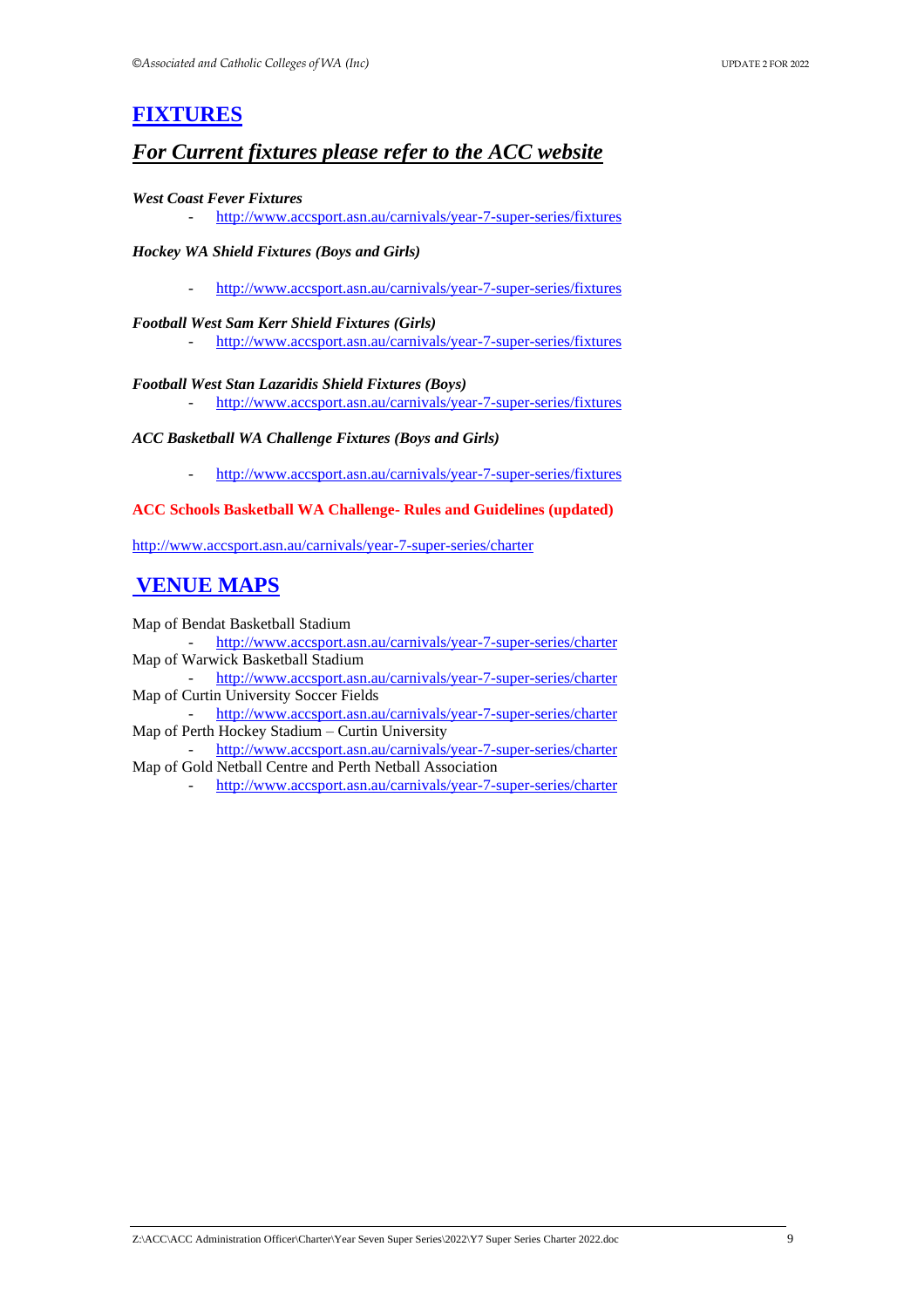# **[FIXTURES](#page-1-0)**

### *For Current fixtures please refer to the ACC website*

#### <span id="page-9-0"></span>*West Coast Fever Fixtures*

- <http://www.accsport.asn.au/carnivals/year-7-super-series/fixtures>

#### *Hockey WA Shield Fixtures (Boys and Girls)*

- <http://www.accsport.asn.au/carnivals/year-7-super-series/fixtures>

#### *Football West Sam Kerr Shield Fixtures (Girls)*

- <http://www.accsport.asn.au/carnivals/year-7-super-series/fixtures>

#### *Football West Stan Lazaridis Shield Fixtures (Boys)*

- <http://www.accsport.asn.au/carnivals/year-7-super-series/fixtures>

#### *ACC Basketball WA Challenge Fixtures (Boys and Girls)*

- <http://www.accsport.asn.au/carnivals/year-7-super-series/fixtures>

#### **ACC Schools Basketball WA Challenge- Rules and Guidelines (updated)**

<http://www.accsport.asn.au/carnivals/year-7-super-series/charter>

# **[VENUE MAPS](#page-9-2)**

Map of Bendat Basketball Stadium

- <http://www.accsport.asn.au/carnivals/year-7-super-series/charter> Map of Warwick Basketball Stadium

- <http://www.accsport.asn.au/carnivals/year-7-super-series/charter> Map of Curtin University Soccer Fields

- <http://www.accsport.asn.au/carnivals/year-7-super-series/charter> Map of Perth Hockey Stadium – Curtin University

<span id="page-9-2"></span>- <http://www.accsport.asn.au/carnivals/year-7-super-series/charter> Map of Gold Netball Centre and Perth Netball Association

<span id="page-9-1"></span>- <http://www.accsport.asn.au/carnivals/year-7-super-series/charter>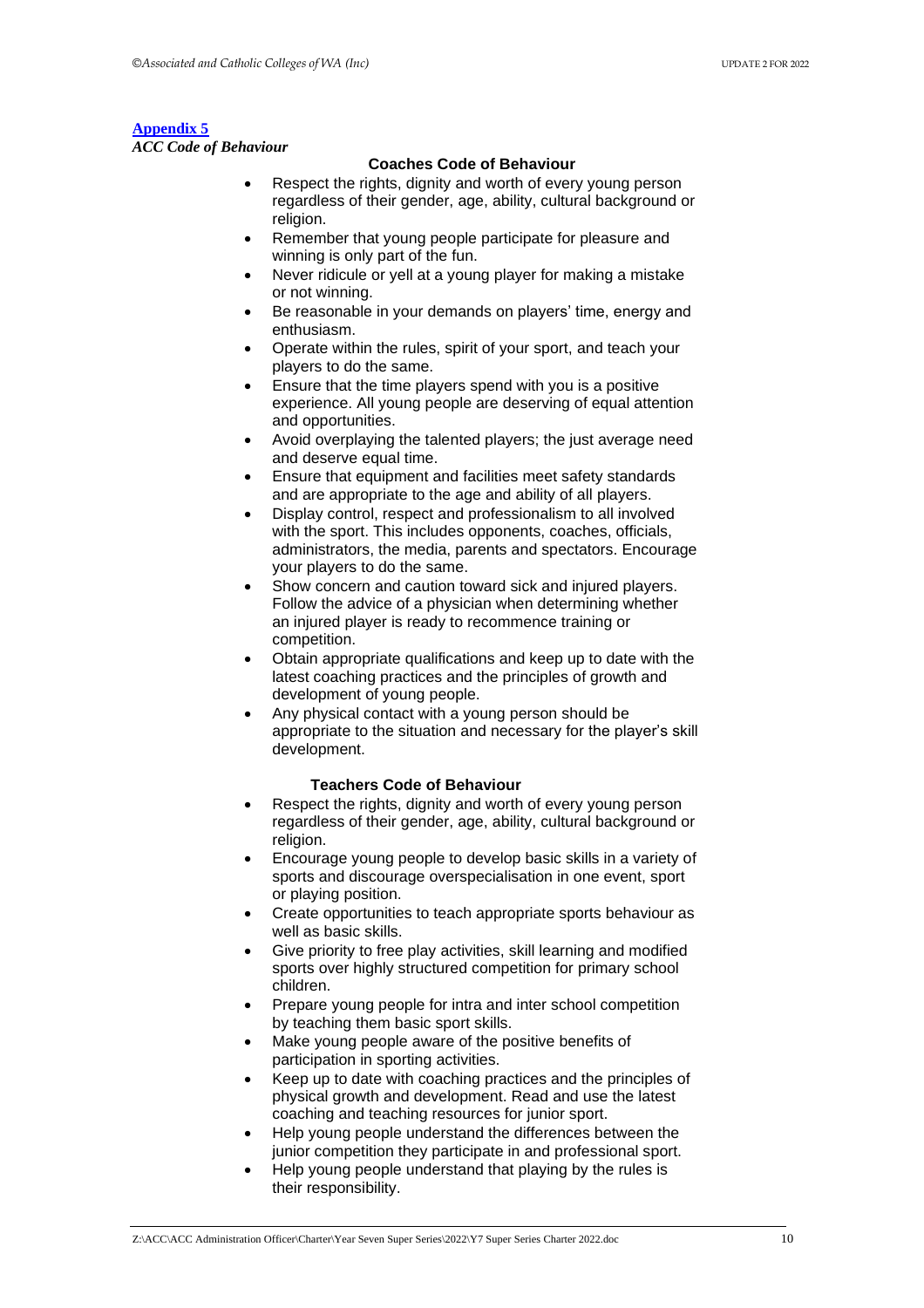#### **[Appendix 5](#page-9-2)**

*ACC Code of Behaviour* 

#### **Coaches Code of Behaviour**

- Respect the rights, dignity and worth of every young person regardless of their gender, age, ability, cultural background or religion.
- Remember that young people participate for pleasure and winning is only part of the fun.
- Never ridicule or yell at a young player for making a mistake or not winning.
- Be reasonable in your demands on players' time, energy and enthusiasm.
- Operate within the rules, spirit of your sport, and teach your players to do the same.
- Ensure that the time players spend with you is a positive experience. All young people are deserving of equal attention and opportunities.
- Avoid overplaying the talented players; the just average need and deserve equal time.
- Ensure that equipment and facilities meet safety standards and are appropriate to the age and ability of all players.
- Display control, respect and professionalism to all involved with the sport. This includes opponents, coaches, officials, administrators, the media, parents and spectators. Encourage your players to do the same.
- Show concern and caution toward sick and injured players. Follow the advice of a physician when determining whether an injured player is ready to recommence training or competition.
- Obtain appropriate qualifications and keep up to date with the latest coaching practices and the principles of growth and development of young people.
- Any physical contact with a young person should be appropriate to the situation and necessary for the player's skill development.

#### **Teachers Code of Behaviour**

- Respect the rights, dignity and worth of every young person regardless of their gender, age, ability, cultural background or religion.
- Encourage young people to develop basic skills in a variety of sports and discourage overspecialisation in one event, sport or playing position.
- Create opportunities to teach appropriate sports behaviour as well as basic skills.
- Give priority to free play activities, skill learning and modified sports over highly structured competition for primary school children.
- Prepare young people for intra and inter school competition by teaching them basic sport skills.
- Make young people aware of the positive benefits of participation in sporting activities.
- Keep up to date with coaching practices and the principles of physical growth and development. Read and use the latest coaching and teaching resources for junior sport.
- Help young people understand the differences between the junior competition they participate in and professional sport.
- Help young people understand that playing by the rules is their responsibility.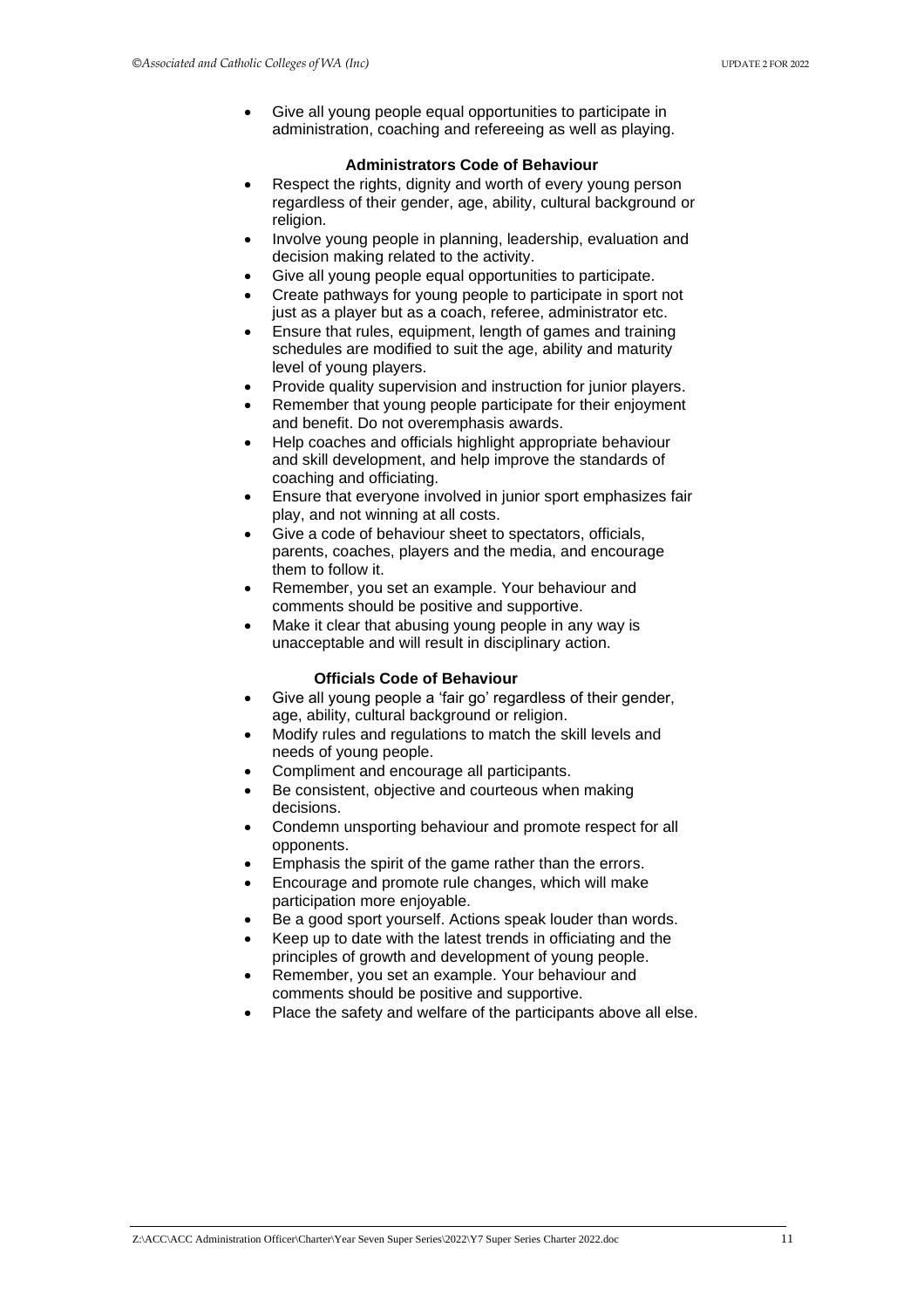• Give all young people equal opportunities to participate in administration, coaching and refereeing as well as playing.

#### **Administrators Code of Behaviour**

- Respect the rights, dignity and worth of every young person regardless of their gender, age, ability, cultural background or religion.
- Involve young people in planning, leadership, evaluation and decision making related to the activity.
- Give all young people equal opportunities to participate.
- Create pathways for young people to participate in sport not just as a player but as a coach, referee, administrator etc.
- Ensure that rules, equipment, length of games and training schedules are modified to suit the age, ability and maturity level of young players.
- Provide quality supervision and instruction for junior players.
- Remember that young people participate for their enjoyment and benefit. Do not overemphasis awards.
- Help coaches and officials highlight appropriate behaviour and skill development, and help improve the standards of coaching and officiating.
- Ensure that everyone involved in junior sport emphasizes fair play, and not winning at all costs.
- Give a code of behaviour sheet to spectators, officials, parents, coaches, players and the media, and encourage them to follow it.
- Remember, you set an example. Your behaviour and comments should be positive and supportive.
- Make it clear that abusing young people in any way is unacceptable and will result in disciplinary action.

#### **Officials Code of Behaviour**

- Give all young people a 'fair go' regardless of their gender, age, ability, cultural background or religion.
- Modify rules and regulations to match the skill levels and needs of young people.
- Compliment and encourage all participants.
- Be consistent, objective and courteous when making decisions.
- Condemn unsporting behaviour and promote respect for all opponents.
- Emphasis the spirit of the game rather than the errors.
- Encourage and promote rule changes, which will make participation more enjoyable.
- Be a good sport yourself. Actions speak louder than words.
- Keep up to date with the latest trends in officiating and the principles of growth and development of young people.
- Remember, you set an example. Your behaviour and comments should be positive and supportive.
- Place the safety and welfare of the participants above all else.